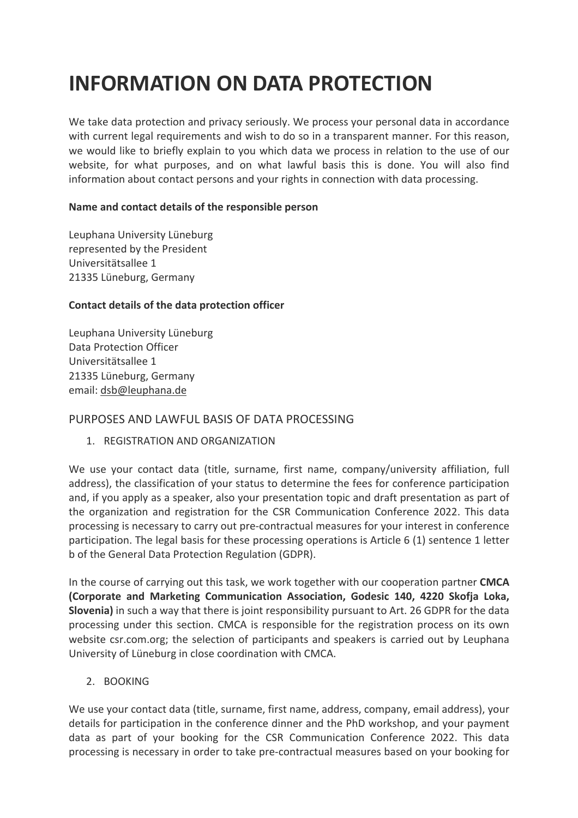# **INFORMATION ON DATA PROTECTION**

We take data protection and privacy seriously. We process your personal data in accordance with current legal requirements and wish to do so in a transparent manner. For this reason, we would like to briefly explain to you which data we process in relation to the use of our website, for what purposes, and on what lawful basis this is done. You will also find information about contact persons and your rights in connection with data processing.

#### **Name and contact details of the responsible person**

Leuphana University Lüneburg represented by the President Universitätsallee 1 21335 Lüneburg, Germany

# **Contact details of the data protection officer**

Leuphana University Lüneburg Data Protection Officer Universitätsallee 1 21335 Lüneburg, Germany email: dsb@leuphana.de

# PURPOSES AND LAWFUL BASIS OF DATA PROCESSING

1. REGISTRATION AND ORGANIZATION

We use your contact data (title, surname, first name, company/university affiliation, full address), the classification of your status to determine the fees for conference participation and, if you apply as a speaker, also your presentation topic and draft presentation as part of the organization and registration for the CSR Communication Conference 2022. This data processing is necessary to carry out pre-contractual measures for your interest in conference participation. The legal basis for these processing operations is Article 6 (1) sentence 1 letter b of the General Data Protection Regulation (GDPR).

In the course of carrying out this task, we work together with our cooperation partner **CMCA (Corporate and Marketing Communication Association, Godesic 140, 4220 Skofja Loka, Slovenia)** in such a way that there is joint responsibility pursuant to Art. 26 GDPR for the data processing under this section. CMCA is responsible for the registration process on its own website csr.com.org; the selection of participants and speakers is carried out by Leuphana University of Lüneburg in close coordination with CMCA.

# 2. BOOKING

We use your contact data (title, surname, first name, address, company, email address), your details for participation in the conference dinner and the PhD workshop, and your payment data as part of your booking for the CSR Communication Conference 2022. This data processing is necessary in order to take pre-contractual measures based on your booking for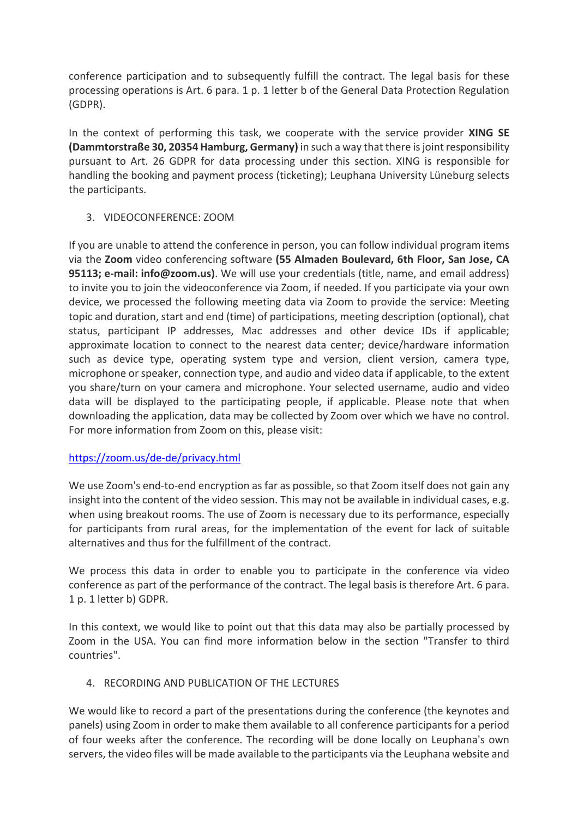conference participation and to subsequently fulfill the contract. The legal basis for these processing operations is Art. 6 para. 1 p. 1 letter b of the General Data Protection Regulation (GDPR).

In the context of performing this task, we cooperate with the service provider **XING SE (Dammtorstraße 30, 20354 Hamburg, Germany)** in such a way that there is joint responsibility pursuant to Art. 26 GDPR for data processing under this section. XING is responsible for handling the booking and payment process (ticketing); Leuphana University Lüneburg selects the participants.

# 3. VIDEOCONFERENCE: ZOOM

If you are unable to attend the conference in person, you can follow individual program items via the **Zoom** video conferencing software **(55 Almaden Boulevard, 6th Floor, San Jose, CA 95113; e-mail: info@zoom.us)**. We will use your credentials (title, name, and email address) to invite you to join the videoconference via Zoom, if needed. If you participate via your own device, we processed the following meeting data via Zoom to provide the service: Meeting topic and duration, start and end (time) of participations, meeting description (optional), chat status, participant IP addresses, Mac addresses and other device IDs if applicable; approximate location to connect to the nearest data center; device/hardware information such as device type, operating system type and version, client version, camera type, microphone or speaker, connection type, and audio and video data if applicable, to the extent you share/turn on your camera and microphone. Your selected username, audio and video data will be displayed to the participating people, if applicable. Please note that when downloading the application, data may be collected by Zoom over which we have no control. For more information from Zoom on this, please visit:

# https://zoom.us/de-de/privacy.html

We use Zoom's end-to-end encryption as far as possible, so that Zoom itself does not gain any insight into the content of the video session. This may not be available in individual cases, e.g. when using breakout rooms. The use of Zoom is necessary due to its performance, especially for participants from rural areas, for the implementation of the event for lack of suitable alternatives and thus for the fulfillment of the contract.

We process this data in order to enable you to participate in the conference via video conference as part of the performance of the contract. The legal basis is therefore Art. 6 para. 1 p. 1 letter b) GDPR.

In this context, we would like to point out that this data may also be partially processed by Zoom in the USA. You can find more information below in the section "Transfer to third countries".

# 4. RECORDING AND PUBLICATION OF THE LECTURES

We would like to record a part of the presentations during the conference (the keynotes and panels) using Zoom in order to make them available to all conference participants for a period of four weeks after the conference. The recording will be done locally on Leuphana's own servers, the video files will be made available to the participants via the Leuphana website and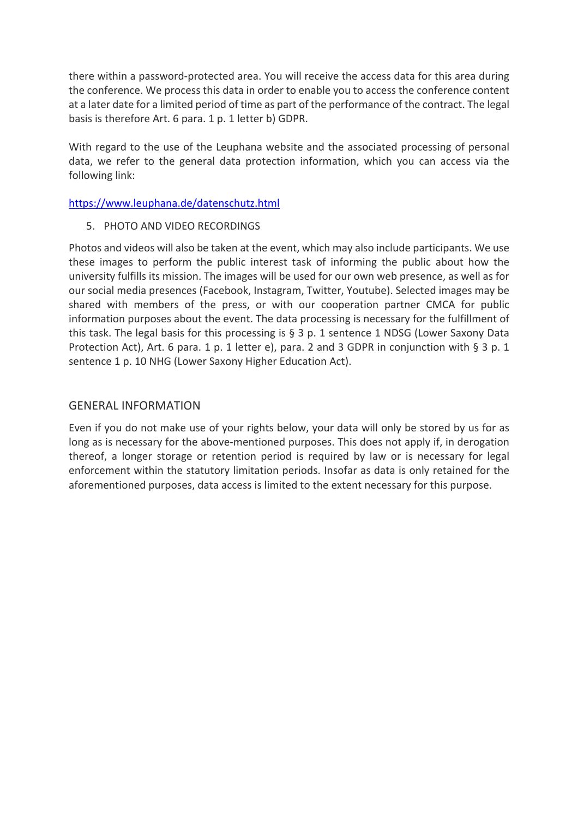there within a password-protected area. You will receive the access data for this area during the conference. We process this data in order to enable you to access the conference content at a later date for a limited period of time as part of the performance of the contract. The legal basis is therefore Art. 6 para. 1 p. 1 letter b) GDPR.

With regard to the use of the Leuphana website and the associated processing of personal data, we refer to the general data protection information, which you can access via the following link:

https://www.leuphana.de/datenschutz.html

#### 5. PHOTO AND VIDEO RECORDINGS

Photos and videos will also be taken at the event, which may also include participants. We use these images to perform the public interest task of informing the public about how the university fulfills its mission. The images will be used for our own web presence, as well as for our social media presences (Facebook, Instagram, Twitter, Youtube). Selected images may be shared with members of the press, or with our cooperation partner CMCA for public information purposes about the event. The data processing is necessary for the fulfillment of this task. The legal basis for this processing is § 3 p. 1 sentence 1 NDSG (Lower Saxony Data Protection Act), Art. 6 para. 1 p. 1 letter e), para. 2 and 3 GDPR in conjunction with § 3 p. 1 sentence 1 p. 10 NHG (Lower Saxony Higher Education Act).

#### GENERAL INFORMATION

Even if you do not make use of your rights below, your data will only be stored by us for as long as is necessary for the above-mentioned purposes. This does not apply if, in derogation thereof, a longer storage or retention period is required by law or is necessary for legal enforcement within the statutory limitation periods. Insofar as data is only retained for the aforementioned purposes, data access is limited to the extent necessary for this purpose.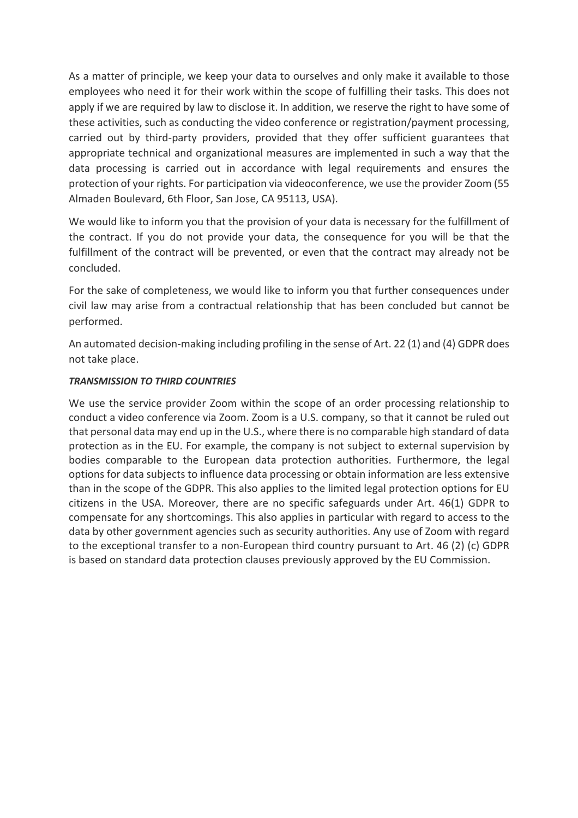As a matter of principle, we keep your data to ourselves and only make it available to those employees who need it for their work within the scope of fulfilling their tasks. This does not apply if we are required by law to disclose it. In addition, we reserve the right to have some of these activities, such as conducting the video conference or registration/payment processing, carried out by third-party providers, provided that they offer sufficient guarantees that appropriate technical and organizational measures are implemented in such a way that the data processing is carried out in accordance with legal requirements and ensures the protection of your rights. For participation via videoconference, we use the provider Zoom (55 Almaden Boulevard, 6th Floor, San Jose, CA 95113, USA).

We would like to inform you that the provision of your data is necessary for the fulfillment of the contract. If you do not provide your data, the consequence for you will be that the fulfillment of the contract will be prevented, or even that the contract may already not be concluded.

For the sake of completeness, we would like to inform you that further consequences under civil law may arise from a contractual relationship that has been concluded but cannot be performed.

An automated decision-making including profiling in the sense of Art. 22 (1) and (4) GDPR does not take place.

#### *TRANSMISSION TO THIRD COUNTRIES*

We use the service provider Zoom within the scope of an order processing relationship to conduct a video conference via Zoom. Zoom is a U.S. company, so that it cannot be ruled out that personal data may end up in the U.S., where there is no comparable high standard of data protection as in the EU. For example, the company is not subject to external supervision by bodies comparable to the European data protection authorities. Furthermore, the legal options for data subjects to influence data processing or obtain information are less extensive than in the scope of the GDPR. This also applies to the limited legal protection options for EU citizens in the USA. Moreover, there are no specific safeguards under Art. 46(1) GDPR to compensate for any shortcomings. This also applies in particular with regard to access to the data by other government agencies such as security authorities. Any use of Zoom with regard to the exceptional transfer to a non-European third country pursuant to Art. 46 (2) (c) GDPR is based on standard data protection clauses previously approved by the EU Commission.